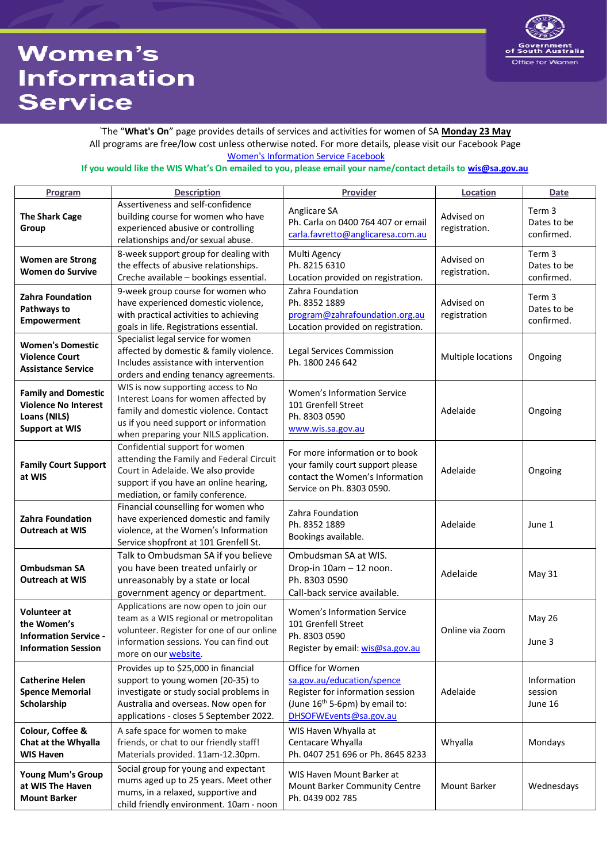## **Women's Information Service**



`The "**What's On**" page provides details of services and activities for women of SA **Monday 23 May** All programs are free/low cost unless otherwise noted. For more details, please visit our Facebook Page [Women's Information Service Facebook](https://www.facebook.com/sawomen/)

## **If you would like the WIS What's On emailed to you, please email your name/contact details t[o wis@sa.gov.au](mailto:wis@sa.gov.au)**

| Program                                                                                            | <b>Description</b>                                                                                                                                                                                      | Provider                                                                                                                                                   | Location                    | <b>Date</b>                         |
|----------------------------------------------------------------------------------------------------|---------------------------------------------------------------------------------------------------------------------------------------------------------------------------------------------------------|------------------------------------------------------------------------------------------------------------------------------------------------------------|-----------------------------|-------------------------------------|
| <b>The Shark Cage</b><br>Group                                                                     | Assertiveness and self-confidence<br>building course for women who have<br>experienced abusive or controlling<br>relationships and/or sexual abuse.                                                     | Anglicare SA<br>Ph. Carla on 0400 764 407 or email<br>carla.favretto@anglicaresa.com.au                                                                    | Advised on<br>registration. | Term 3<br>Dates to be<br>confirmed. |
| <b>Women are Strong</b><br><b>Women do Survive</b>                                                 | 8-week support group for dealing with<br>the effects of abusive relationships.<br>Creche available - bookings essential.                                                                                | Multi Agency<br>Ph. 8215 6310<br>Location provided on registration.                                                                                        | Advised on<br>registration. | Term 3<br>Dates to be<br>confirmed. |
| Zahra Foundation<br>Pathways to<br>Empowerment                                                     | 9-week group course for women who<br>have experienced domestic violence,<br>with practical activities to achieving<br>goals in life. Registrations essential.                                           | Zahra Foundation<br>Ph. 8352 1889<br>program@zahrafoundation.org.au<br>Location provided on registration.                                                  | Advised on<br>registration  | Term 3<br>Dates to be<br>confirmed. |
| <b>Women's Domestic</b><br><b>Violence Court</b><br><b>Assistance Service</b>                      | Specialist legal service for women<br>affected by domestic & family violence.<br>Includes assistance with intervention<br>orders and ending tenancy agreements.                                         | <b>Legal Services Commission</b><br>Ph. 1800 246 642                                                                                                       | Multiple locations          | Ongoing                             |
| <b>Family and Domestic</b><br><b>Violence No Interest</b><br>Loans (NILS)<br><b>Support at WIS</b> | WIS is now supporting access to No<br>Interest Loans for women affected by<br>family and domestic violence. Contact<br>us if you need support or information<br>when preparing your NILS application.   | Women's Information Service<br>101 Grenfell Street<br>Ph. 8303 0590<br>www.wis.sa.gov.au                                                                   | Adelaide                    | Ongoing                             |
| <b>Family Court Support</b><br>at WIS                                                              | Confidential support for women<br>attending the Family and Federal Circuit<br>Court in Adelaide. We also provide<br>support if you have an online hearing,<br>mediation, or family conference.          | For more information or to book<br>your family court support please<br>contact the Women's Information<br>Service on Ph. 8303 0590.                        | Adelaide                    | Ongoing                             |
| Zahra Foundation<br><b>Outreach at WIS</b>                                                         | Financial counselling for women who<br>have experienced domestic and family<br>violence, at the Women's Information<br>Service shopfront at 101 Grenfell St.                                            | Zahra Foundation<br>Ph. 8352 1889<br>Bookings available.                                                                                                   | Adelaide                    | June 1                              |
| <b>Ombudsman SA</b><br><b>Outreach at WIS</b>                                                      | Talk to Ombudsman SA if you believe<br>you have been treated unfairly or<br>unreasonably by a state or local<br>government agency or department.                                                        | Ombudsman SA at WIS.<br>Drop-in 10am - 12 noon.<br>Ph. 8303 0590<br>Call-back service available.                                                           | Adelaide                    | May 31                              |
| <b>Volunteer at</b><br>the Women's<br><b>Information Service -</b><br><b>Information Session</b>   | Applications are now open to join our<br>team as a WIS regional or metropolitan<br>volunteer. Register for one of our online<br>information sessions. You can find out<br>more on our website.          | Women's Information Service<br>101 Grenfell Street<br>Ph. 8303 0590<br>Register by email: wis@sa.gov.au                                                    | Online via Zoom             | <b>May 26</b><br>June 3             |
| <b>Catherine Helen</b><br><b>Spence Memorial</b><br>Scholarship                                    | Provides up to \$25,000 in financial<br>support to young women (20-35) to<br>investigate or study social problems in<br>Australia and overseas. Now open for<br>applications - closes 5 September 2022. | Office for Women<br>sa.gov.au/education/spence<br>Register for information session<br>(June 16 <sup>th</sup> 5-6pm) by email to:<br>DHSOFWEvents@sa.gov.au | Adelaide                    | Information<br>session<br>June 16   |
| Colour, Coffee &<br>Chat at the Whyalla<br><b>WIS Haven</b>                                        | A safe space for women to make<br>friends, or chat to our friendly staff!<br>Materials provided. 11am-12.30pm.                                                                                          | WIS Haven Whyalla at<br>Centacare Whyalla<br>Ph. 0407 251 696 or Ph. 8645 8233                                                                             | Whyalla                     | Mondays                             |
| <b>Young Mum's Group</b><br>at WIS The Haven<br><b>Mount Barker</b>                                | Social group for young and expectant<br>mums aged up to 25 years. Meet other<br>mums, in a relaxed, supportive and<br>child friendly environment. 10am - noon                                           | WIS Haven Mount Barker at<br>Mount Barker Community Centre<br>Ph. 0439 002 785                                                                             | Mount Barker                | Wednesdays                          |